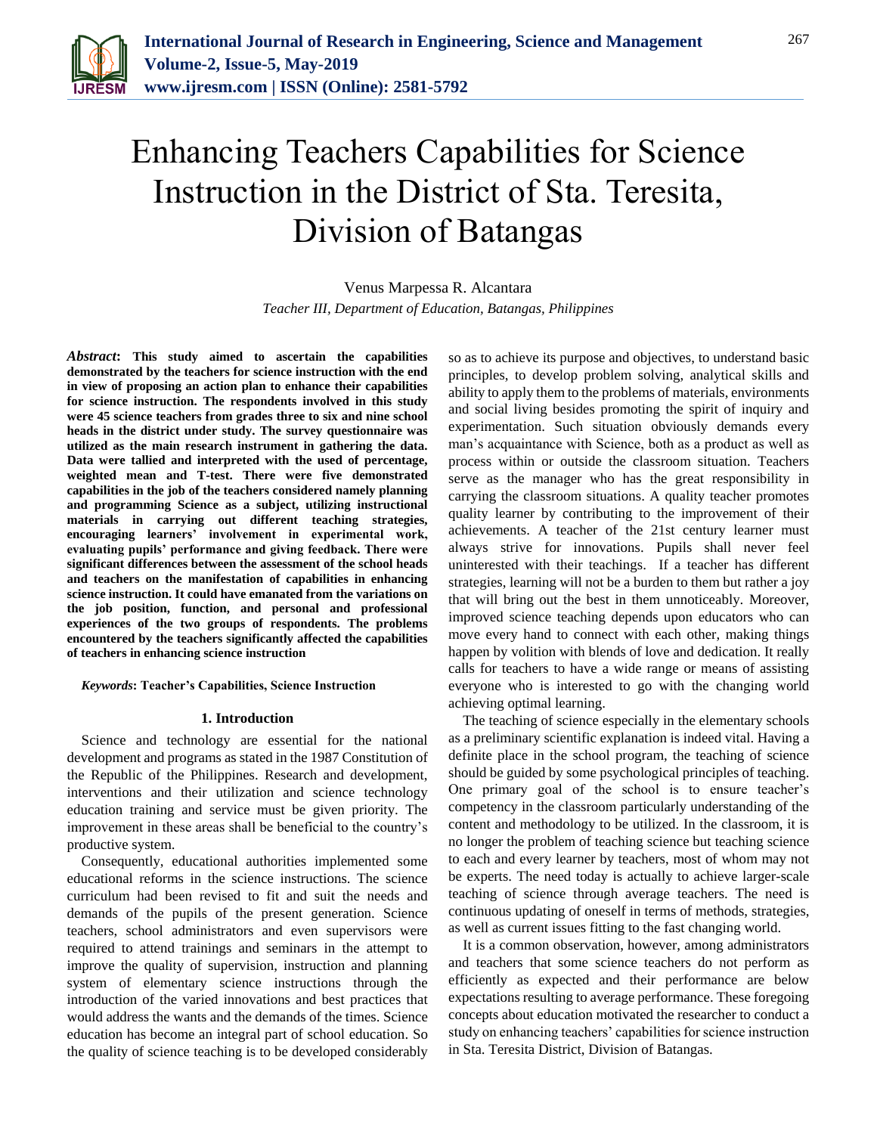

# Enhancing Teachers Capabilities for Science Instruction in the District of Sta. Teresita, Division of Batangas

Venus Marpessa R. Alcantara *Teacher III, Department of Education, Batangas, Philippines*

*Abstract***: This study aimed to ascertain the capabilities demonstrated by the teachers for science instruction with the end in view of proposing an action plan to enhance their capabilities for science instruction. The respondents involved in this study were 45 science teachers from grades three to six and nine school heads in the district under study. The survey questionnaire was utilized as the main research instrument in gathering the data. Data were tallied and interpreted with the used of percentage, weighted mean and T-test. There were five demonstrated capabilities in the job of the teachers considered namely planning and programming Science as a subject, utilizing instructional materials in carrying out different teaching strategies, encouraging learners' involvement in experimental work, evaluating pupils' performance and giving feedback. There were significant differences between the assessment of the school heads and teachers on the manifestation of capabilities in enhancing science instruction. It could have emanated from the variations on the job position, function, and personal and professional experiences of the two groups of respondents. The problems encountered by the teachers significantly affected the capabilities of teachers in enhancing science instruction** 

*Keywords***: Teacher's Capabilities, Science Instruction**

### **1. Introduction**

Science and technology are essential for the national development and programs as stated in the 1987 Constitution of the Republic of the Philippines. Research and development, interventions and their utilization and science technology education training and service must be given priority. The improvement in these areas shall be beneficial to the country's productive system.

Consequently, educational authorities implemented some educational reforms in the science instructions. The science curriculum had been revised to fit and suit the needs and demands of the pupils of the present generation. Science teachers, school administrators and even supervisors were required to attend trainings and seminars in the attempt to improve the quality of supervision, instruction and planning system of elementary science instructions through the introduction of the varied innovations and best practices that would address the wants and the demands of the times. Science education has become an integral part of school education. So the quality of science teaching is to be developed considerably so as to achieve its purpose and objectives, to understand basic principles, to develop problem solving, analytical skills and ability to apply them to the problems of materials, environments and social living besides promoting the spirit of inquiry and experimentation. Such situation obviously demands every man's acquaintance with Science, both as a product as well as process within or outside the classroom situation. Teachers serve as the manager who has the great responsibility in carrying the classroom situations. A quality teacher promotes quality learner by contributing to the improvement of their achievements. A teacher of the 21st century learner must always strive for innovations. Pupils shall never feel uninterested with their teachings. If a teacher has different strategies, learning will not be a burden to them but rather a joy that will bring out the best in them unnoticeably. Moreover, improved science teaching depends upon educators who can move every hand to connect with each other, making things happen by volition with blends of love and dedication. It really calls for teachers to have a wide range or means of assisting everyone who is interested to go with the changing world achieving optimal learning.

The teaching of science especially in the elementary schools as a preliminary scientific explanation is indeed vital. Having a definite place in the school program, the teaching of science should be guided by some psychological principles of teaching. One primary goal of the school is to ensure teacher's competency in the classroom particularly understanding of the content and methodology to be utilized. In the classroom, it is no longer the problem of teaching science but teaching science to each and every learner by teachers, most of whom may not be experts. The need today is actually to achieve larger-scale teaching of science through average teachers. The need is continuous updating of oneself in terms of methods, strategies, as well as current issues fitting to the fast changing world.

It is a common observation, however, among administrators and teachers that some science teachers do not perform as efficiently as expected and their performance are below expectations resulting to average performance. These foregoing concepts about education motivated the researcher to conduct a study on enhancing teachers' capabilities for science instruction in Sta. Teresita District, Division of Batangas.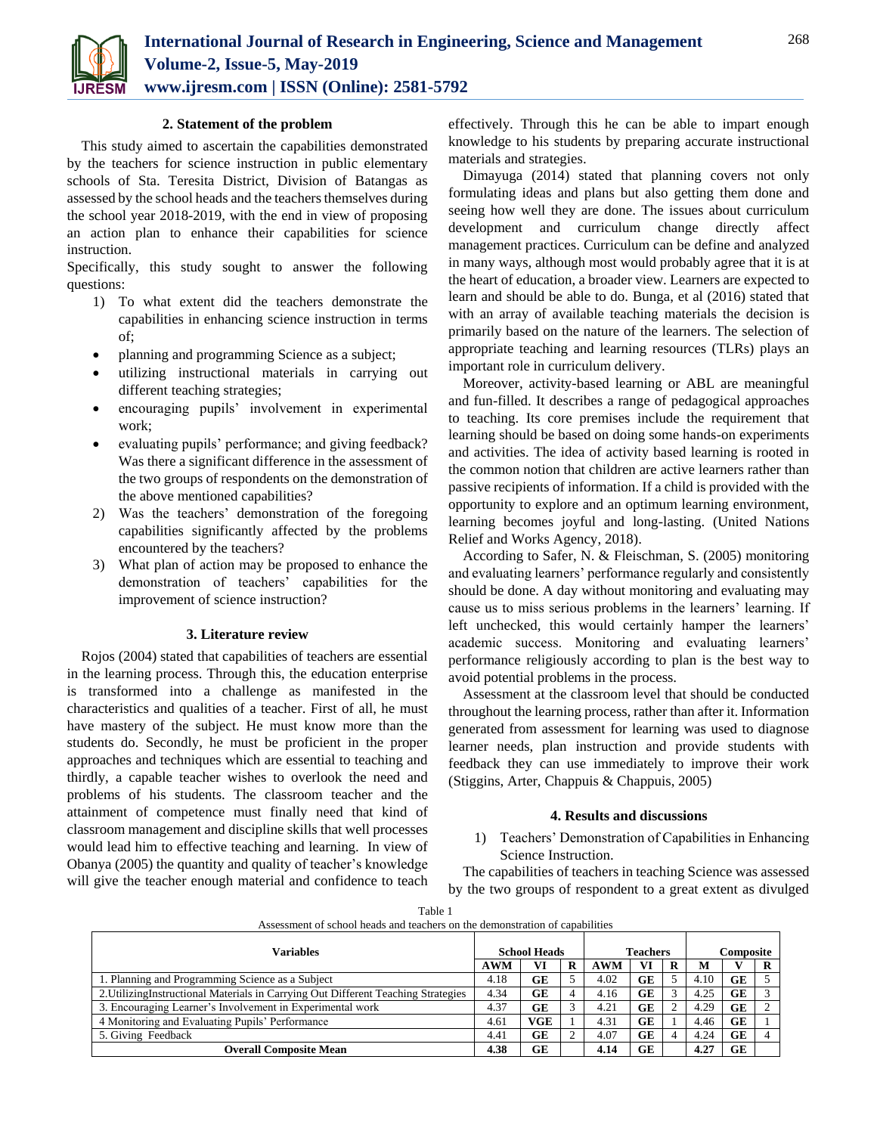

## **2. Statement of the problem**

This study aimed to ascertain the capabilities demonstrated by the teachers for science instruction in public elementary schools of Sta. Teresita District, Division of Batangas as assessed by the school heads and the teachers themselves during the school year 2018-2019, with the end in view of proposing an action plan to enhance their capabilities for science instruction.

Specifically, this study sought to answer the following questions:

- 1) To what extent did the teachers demonstrate the capabilities in enhancing science instruction in terms of;
- planning and programming Science as a subject;
- utilizing instructional materials in carrying out different teaching strategies;
- encouraging pupils' involvement in experimental work;
- evaluating pupils' performance; and giving feedback? Was there a significant difference in the assessment of the two groups of respondents on the demonstration of the above mentioned capabilities?
- 2) Was the teachers' demonstration of the foregoing capabilities significantly affected by the problems encountered by the teachers?
- 3) What plan of action may be proposed to enhance the demonstration of teachers' capabilities for the improvement of science instruction?

### **3. Literature review**

Rojos (2004) stated that capabilities of teachers are essential in the learning process. Through this, the education enterprise is transformed into a challenge as manifested in the characteristics and qualities of a teacher. First of all, he must have mastery of the subject. He must know more than the students do. Secondly, he must be proficient in the proper approaches and techniques which are essential to teaching and thirdly, a capable teacher wishes to overlook the need and problems of his students. The classroom teacher and the attainment of competence must finally need that kind of classroom management and discipline skills that well processes would lead him to effective teaching and learning. In view of Obanya (2005) the quantity and quality of teacher's knowledge will give the teacher enough material and confidence to teach

effectively. Through this he can be able to impart enough knowledge to his students by preparing accurate instructional materials and strategies.

Dimayuga (2014) stated that planning covers not only formulating ideas and plans but also getting them done and seeing how well they are done. The issues about curriculum development and curriculum change directly affect management practices. Curriculum can be define and analyzed in many ways, although most would probably agree that it is at the heart of education, a broader view. Learners are expected to learn and should be able to do. Bunga, et al (2016) stated that with an array of available teaching materials the decision is primarily based on the nature of the learners. The selection of appropriate teaching and learning resources (TLRs) plays an important role in curriculum delivery.

Moreover, activity-based learning or ABL are meaningful and fun-filled. It describes a range of pedagogical approaches to teaching. Its core premises include the requirement that learning should be based on doing some hands-on experiments and activities. The idea of activity based learning is rooted in the common notion that children are active learners rather than passive recipients of information. If a child is provided with the opportunity to explore and an optimum learning environment, learning becomes joyful and long-lasting. (United Nations Relief and Works Agency, 2018).

According to Safer, N. & Fleischman, S. (2005) monitoring and evaluating learners' performance regularly and consistently should be done. A day without monitoring and evaluating may cause us to miss serious problems in the learners' learning. If left unchecked, this would certainly hamper the learners' academic success. Monitoring and evaluating learners' performance religiously according to plan is the best way to avoid potential problems in the process.

Assessment at the classroom level that should be conducted throughout the learning process, rather than after it. Information generated from assessment for learning was used to diagnose learner needs, plan instruction and provide students with feedback they can use immediately to improve their work (Stiggins, Arter, Chappuis & Chappuis, 2005)

### **4. Results and discussions**

1) Teachers' Demonstration of Capabilities in Enhancing Science Instruction.

The capabilities of teachers in teaching Science was assessed by the two groups of respondent to a great extent as divulged

| Assessment of school heads and teachers on the demonstration of capabilities       |                     |            |   |                 |    |   |           |    |  |  |  |  |
|------------------------------------------------------------------------------------|---------------------|------------|---|-----------------|----|---|-----------|----|--|--|--|--|
| <b>Variables</b>                                                                   | <b>School Heads</b> |            |   | <b>Teachers</b> |    |   | Composite |    |  |  |  |  |
|                                                                                    | <b>AWM</b>          | VI         | R | AWM             | VI | R | M         |    |  |  |  |  |
| 1. Planning and Programming Science as a Subject                                   | 4.18                | GE         |   | 4.02            | GE |   | 4.10      | GE |  |  |  |  |
| 2. Utilizing Instructional Materials in Carrying Out Different Teaching Strategies | 4.34                | GE         |   | 4.16            | GE |   | 4.25      | GE |  |  |  |  |
| 3. Encouraging Learner's Involvement in Experimental work                          | 4.37                | GE         |   | 4.21            | GE |   | 4.29      | GE |  |  |  |  |
| 4 Monitoring and Evaluating Pupils' Performance                                    | 4.61                | <b>VGE</b> |   | 4.31            | GE |   | 4.46      | GE |  |  |  |  |
| 5. Giving Feedback                                                                 | 4.41                | <b>GE</b>  |   | 4.07            | GE | 4 | 4.24      | GE |  |  |  |  |
| <b>Overall Composite Mean</b>                                                      | 4.38                | GE         |   | 4.14            | GE |   | 4.27      | GE |  |  |  |  |

Table 1 Assessment of school heads and teachers on the demonstration of capabilities